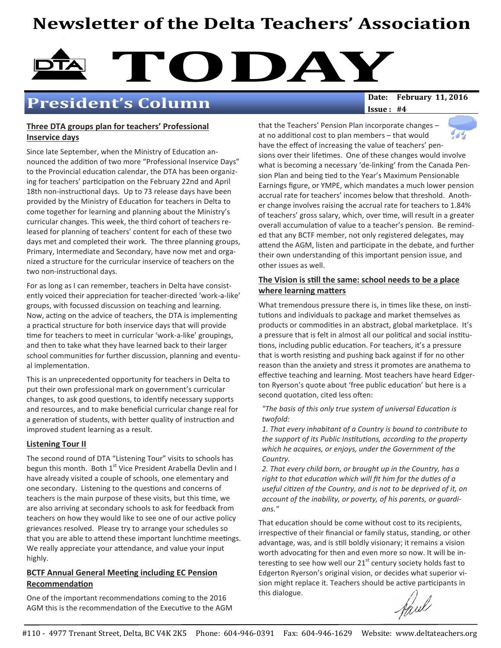# Newsletter of the Delta Teachers' Association



# President's Column

 $Issue: #4$ 

### Three DTA groups plan for teachers' Professional Inservice days

Since late September, when the Ministry of Education announced the addition of two more "Professional Inservice Days" to the Provincial education calendar, the DTA has been organizing for teachers' participation on the February 22nd and April 18th non-instructional days. Up to 73 release days have been provided by the Ministry of Education for teachers in Delta to come together for learning and planning about the Ministry's curricular changes. This week, the third cohort of teachers released for planning of teachers' content for each of these two days met and completed their work. The three planning groups, Primary, Intermediate and Secondary, have now met and organized a structure for the curricular inservice of teachers on the two non-instructional days.

For as long as I can remember, teachers in Delta have consistently voiced their appreciation for teacher-directed 'work-a-like' groups, with focussed discussion on teaching and learning. Now, acting on the advice of teachers, the DTA is implementing a practical structure for both inservice days that will provide time for teachers to meet in curricular 'work-a-like' groupings, and then to take what they have learned back to their larger school communities for further discussion, planning and eventual implementation.

This is an unprecedented opportunity for teachers in Delta to put their own professional mark on government's curricular changes, to ask good questions, to identify necessary supports and resources, and to make beneficial curricular change real for a generation of students, with better quality of instruction and improved student learning as a result.

## Listening Tour II

The second round of DTA "Listening Tour" visits to schools has begun this month. Both 1<sup>st</sup> Vice President Arabella Devlin and I have already visited a couple of schools, one elementary and one secondary. Listening to the questions and concerns of teachers is the main purpose of these visits, but this time, we are also arriving at secondary schools to ask for feedback from teachers on how they would like to see one of our active policy grievances resolved. Please try to arrange your schedules so that you are able to attend these important lunchtime meetings. We really appreciate your attendance, and value your input highly.

### BCTF Annual General Meeting including EC Pension Recommendation

One of the important recommendations coming to the 2016 AGM this is the recommendation of the Executive to the AGM at no additional cost to plan members - that would have the effect of increasing the value of teachers' pensions over their lifetimes. One of these changes would involve what is becoming a necessary 'de-linking' from the Canada Pension Plan and being tied to the Year's Maximum Pensionable Earnings figure, or YMPE, which mandates a much lower pension accrual rate for teachers' incomes below that threshold. Another change involves raising the accrual rate for teachers to 1.84% of teachers' gross salary, which, over time, will result in a greater overall accumulation of value to a teacher's pension. Be reminded that any BCTF member, not only registered delegates, may attend the AGM, listen and participate in the debate, and further their own understanding of this important pension issue, and other issues as well.

that the Teachers' Pension Plan incorporate changes –

### The Vision is still the same: school needs to be a place where learning matters

What tremendous pressure there is, in times like these, on institutions and individuals to package and market themselves as products or commodities in an abstract, global marketplace. It's a pressure that is felt in almost all our political and social institutions, including public education. For teachers, it's a pressure that is worth resisting and pushing back against if for no other reason than the anxiety and stress it promotes are anathema to effective teaching and learning. Most teachers have heard Edgerton Ryerson's quote about 'free public education' but here is a second quotation, cited less often:

#### "The basis of this only true system of universal Education is twofold:

1. That every inhabitant of a Country is bound to contribute to the support of its Public Institutions, according to the property which he acquires, or enjoys, under the Government of the Country.

2. That every child born, or brought up in the Country, has a right to that education which will fit him for the duties of a useful citizen of the Country, and is not to be deprived of it, on account of the inability, or poverty, of his parents, or guardians."

That education should be come without cost to its recipients, irrespective of their financial or family status, standing, or other advantage, was, and is still boldly visionary; it remains a vision worth advocating for then and even more so now. It will be interesting to see how well our  $21^{st}$  century society holds fast to Edgerton Ryerson's original vision, or decides what superior vision might replace it. Teachers should be active participants in this dialogue.

Harel